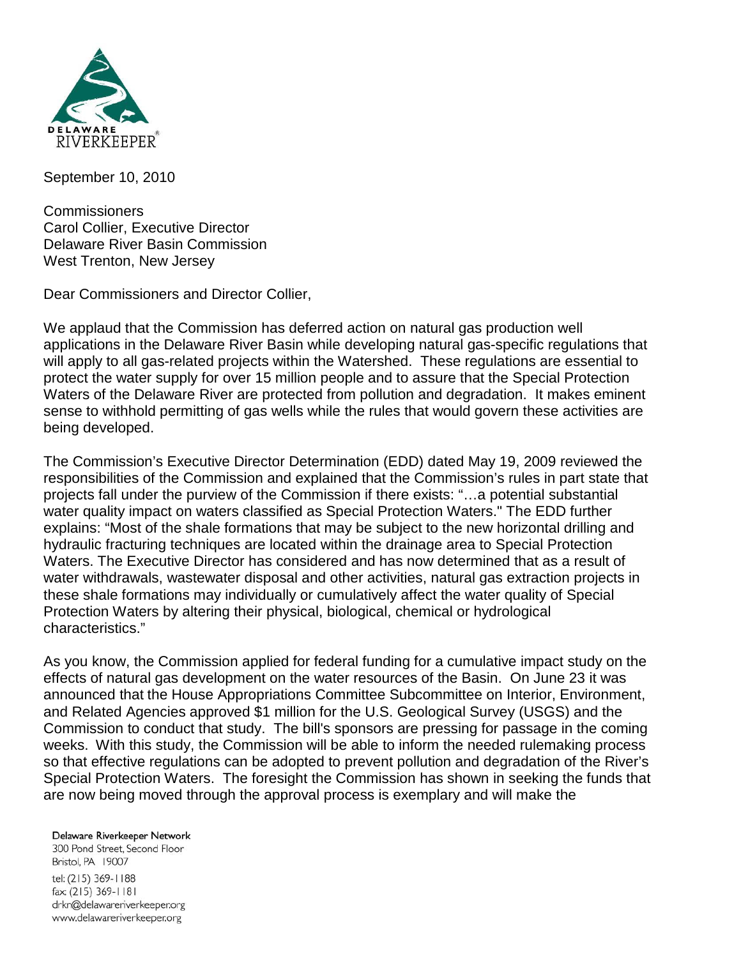

September 10, 2010

Commissioners Carol Collier, Executive Director Delaware River Basin Commission West Trenton, New Jersey

Dear Commissioners and Director Collier,

We applaud that the Commission has deferred action on natural gas production well applications in the Delaware River Basin while developing natural gas-specific regulations that will apply to all gas-related projects within the Watershed. These regulations are essential to protect the water supply for over 15 million people and to assure that the Special Protection Waters of the Delaware River are protected from pollution and degradation. It makes eminent sense to withhold permitting of gas wells while the rules that would govern these activities are being developed.

The Commission's Executive Director Determination (EDD) dated May 19, 2009 reviewed the responsibilities of the Commission and explained that the Commission's rules in part state that projects fall under the purview of the Commission if there exists: "…a potential substantial water quality impact on waters classified as Special Protection Waters." The EDD further explains: "Most of the shale formations that may be subject to the new horizontal drilling and hydraulic fracturing techniques are located within the drainage area to Special Protection Waters. The Executive Director has considered and has now determined that as a result of water withdrawals, wastewater disposal and other activities, natural gas extraction projects in these shale formations may individually or cumulatively affect the water quality of Special Protection Waters by altering their physical, biological, chemical or hydrological characteristics."

As you know, the Commission applied for federal funding for a cumulative impact study on the effects of natural gas development on the water resources of the Basin. On June 23 it was announced that the House Appropriations Committee Subcommittee on Interior, Environment, and Related Agencies approved \$1 million for the U.S. Geological Survey (USGS) and the Commission to conduct that study. The bill's sponsors are pressing for passage in the coming weeks. With this study, the Commission will be able to inform the needed rulemaking process so that effective regulations can be adopted to prevent pollution and degradation of the River's Special Protection Waters. The foresight the Commission has shown in seeking the funds that are now being moved through the approval process is exemplary and will make the

Delaware Riverkeeper Network

300 Pond Street, Second Floor Bristol, PA 19007 tel: (215) 369-1188 fax: (215) 369-1181 drkn@delawareriverkeeper.org www.delawareriverkeeper.org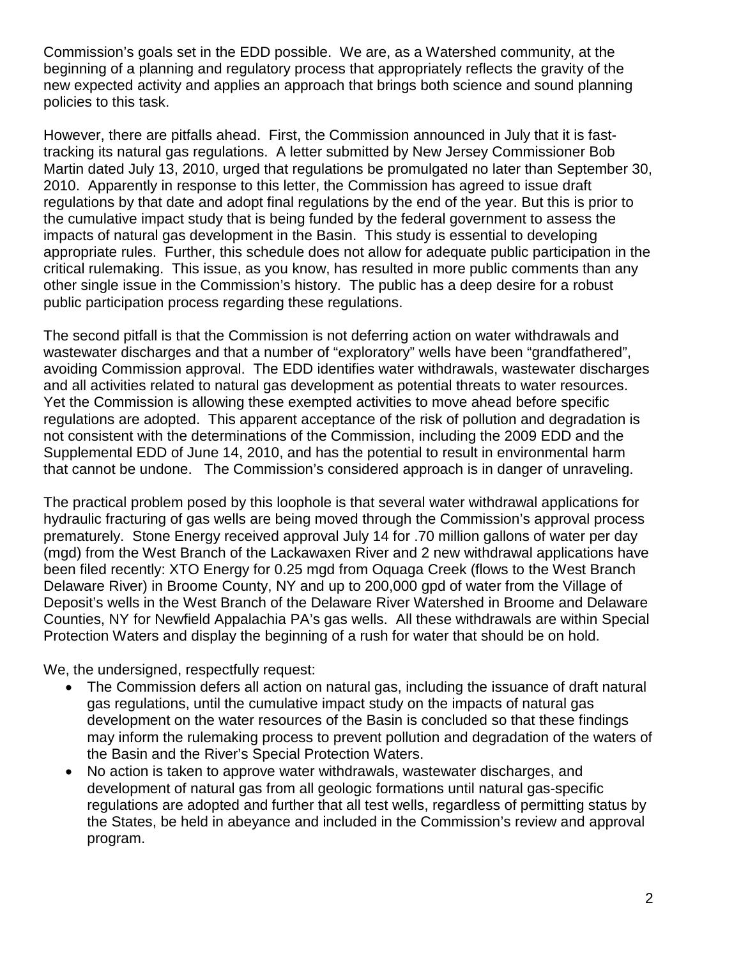Commission's goals set in the EDD possible. We are, as a Watershed community, at the beginning of a planning and regulatory process that appropriately reflects the gravity of the new expected activity and applies an approach that brings both science and sound planning policies to this task.

However, there are pitfalls ahead. First, the Commission announced in July that it is fasttracking its natural gas regulations. A letter submitted by New Jersey Commissioner Bob Martin dated July 13, 2010, urged that regulations be promulgated no later than September 30, 2010. Apparently in response to this letter, the Commission has agreed to issue draft regulations by that date and adopt final regulations by the end of the year. But this is prior to the cumulative impact study that is being funded by the federal government to assess the impacts of natural gas development in the Basin. This study is essential to developing appropriate rules. Further, this schedule does not allow for adequate public participation in the critical rulemaking. This issue, as you know, has resulted in more public comments than any other single issue in the Commission's history. The public has a deep desire for a robust public participation process regarding these regulations.

The second pitfall is that the Commission is not deferring action on water withdrawals and wastewater discharges and that a number of "exploratory" wells have been "grandfathered", avoiding Commission approval. The EDD identifies water withdrawals, wastewater discharges and all activities related to natural gas development as potential threats to water resources. Yet the Commission is allowing these exempted activities to move ahead before specific regulations are adopted. This apparent acceptance of the risk of pollution and degradation is not consistent with the determinations of the Commission, including the 2009 EDD and the Supplemental EDD of June 14, 2010, and has the potential to result in environmental harm that cannot be undone. The Commission's considered approach is in danger of unraveling.

The practical problem posed by this loophole is that several water withdrawal applications for hydraulic fracturing of gas wells are being moved through the Commission's approval process prematurely. Stone Energy received approval July 14 for .70 million gallons of water per day (mgd) from the West Branch of the Lackawaxen River and 2 new withdrawal applications have been filed recently: XTO Energy for 0.25 mgd from Oquaga Creek (flows to the West Branch Delaware River) in Broome County, NY and up to 200,000 gpd of water from the Village of Deposit's wells in the West Branch of the Delaware River Watershed in Broome and Delaware Counties, NY for Newfield Appalachia PA's gas wells. All these withdrawals are within Special Protection Waters and display the beginning of a rush for water that should be on hold.

We, the undersigned, respectfully request:

- The Commission defers all action on natural gas, including the issuance of draft natural gas regulations, until the cumulative impact study on the impacts of natural gas development on the water resources of the Basin is concluded so that these findings may inform the rulemaking process to prevent pollution and degradation of the waters of the Basin and the River's Special Protection Waters.
- No action is taken to approve water withdrawals, wastewater discharges, and development of natural gas from all geologic formations until natural gas-specific regulations are adopted and further that all test wells, regardless of permitting status by the States, be held in abeyance and included in the Commission's review and approval program.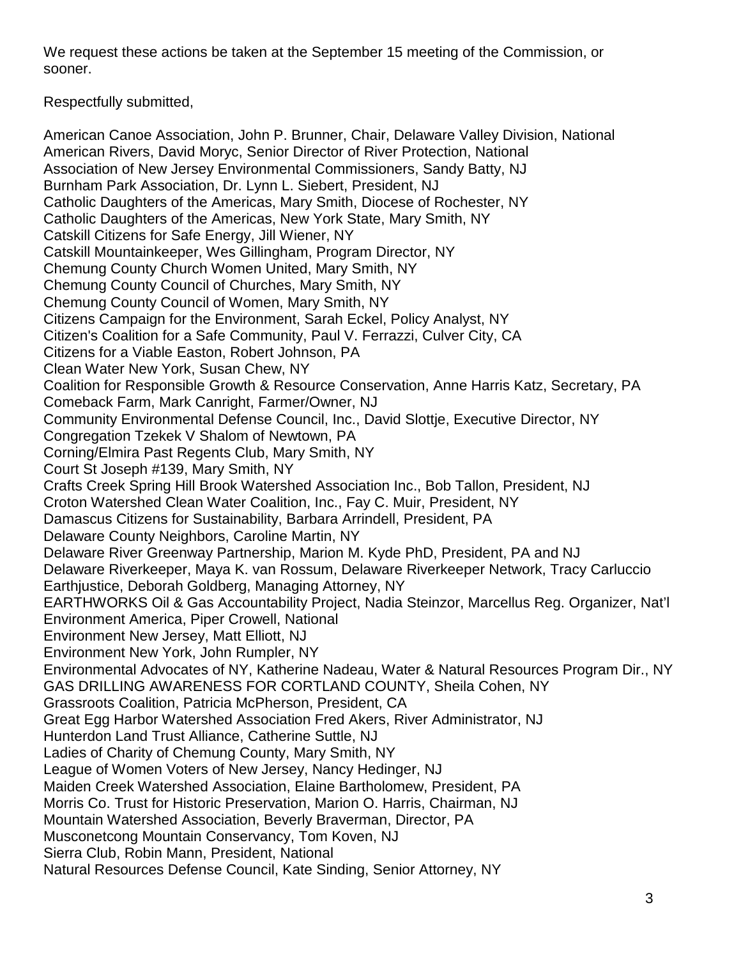We request these actions be taken at the September 15 meeting of the Commission, or sooner.

Respectfully submitted,

American Canoe Association, John P. Brunner, Chair, Delaware Valley Division, National American Rivers, David Moryc, Senior Director of River Protection, National Association of New Jersey Environmental Commissioners, Sandy Batty, NJ Burnham Park Association, Dr. Lynn L. Siebert, President, NJ Catholic Daughters of the Americas, Mary Smith, Diocese of Rochester, NY Catholic Daughters of the Americas, New York State, Mary Smith, NY Catskill Citizens for Safe Energy, Jill Wiener, NY Catskill Mountainkeeper, Wes Gillingham, Program Director, NY Chemung County Church Women United, Mary Smith, NY Chemung County Council of Churches, Mary Smith, NY Chemung County Council of Women, Mary Smith, NY Citizens Campaign for the Environment, Sarah Eckel, Policy Analyst, NY Citizen's Coalition for a Safe Community, Paul V. Ferrazzi, Culver City, CA Citizens for a Viable Easton, Robert Johnson, PA Clean Water New York, Susan Chew, NY Coalition for Responsible Growth & Resource Conservation, Anne Harris Katz, Secretary, PA Comeback Farm, Mark Canright, Farmer/Owner, NJ Community Environmental Defense Council, Inc., David Slottje, Executive Director, NY Congregation Tzekek V Shalom of Newtown, PA Corning/Elmira Past Regents Club, Mary Smith, NY Court St Joseph #139, Mary Smith, NY Crafts Creek Spring Hill Brook Watershed Association Inc., Bob Tallon, President, NJ Croton Watershed Clean Water Coalition, Inc., Fay C. Muir, President, NY Damascus Citizens for Sustainability, Barbara Arrindell, President, PA Delaware County Neighbors, Caroline Martin, NY Delaware River Greenway Partnership, Marion M. Kyde PhD, President, PA and NJ Delaware Riverkeeper, Maya K. van Rossum, Delaware Riverkeeper Network, Tracy Carluccio Earthjustice, Deborah Goldberg, Managing Attorney, NY EARTHWORKS Oil & Gas Accountability Project, Nadia Steinzor, Marcellus Reg. Organizer, Nat'l Environment America, Piper Crowell, National Environment New Jersey, Matt Elliott, NJ Environment New York, John Rumpler, NY Environmental Advocates of NY, Katherine Nadeau, Water & Natural Resources Program Dir., NY GAS DRILLING AWARENESS FOR CORTLAND COUNTY, Sheila Cohen, NY Grassroots Coalition, Patricia McPherson, President, CA Great Egg Harbor Watershed Association Fred Akers, River Administrator, NJ Hunterdon Land Trust Alliance, Catherine Suttle, NJ Ladies of Charity of Chemung County, Mary Smith, NY League of Women Voters of New Jersey, Nancy Hedinger, NJ Maiden Creek Watershed Association, Elaine Bartholomew, President, PA Morris Co. Trust for Historic Preservation, Marion O. Harris, Chairman, NJ Mountain Watershed Association, Beverly Braverman, Director, PA Musconetcong Mountain Conservancy, Tom Koven, NJ Sierra Club, Robin Mann, President, National Natural Resources Defense Council, Kate Sinding, Senior Attorney, NY